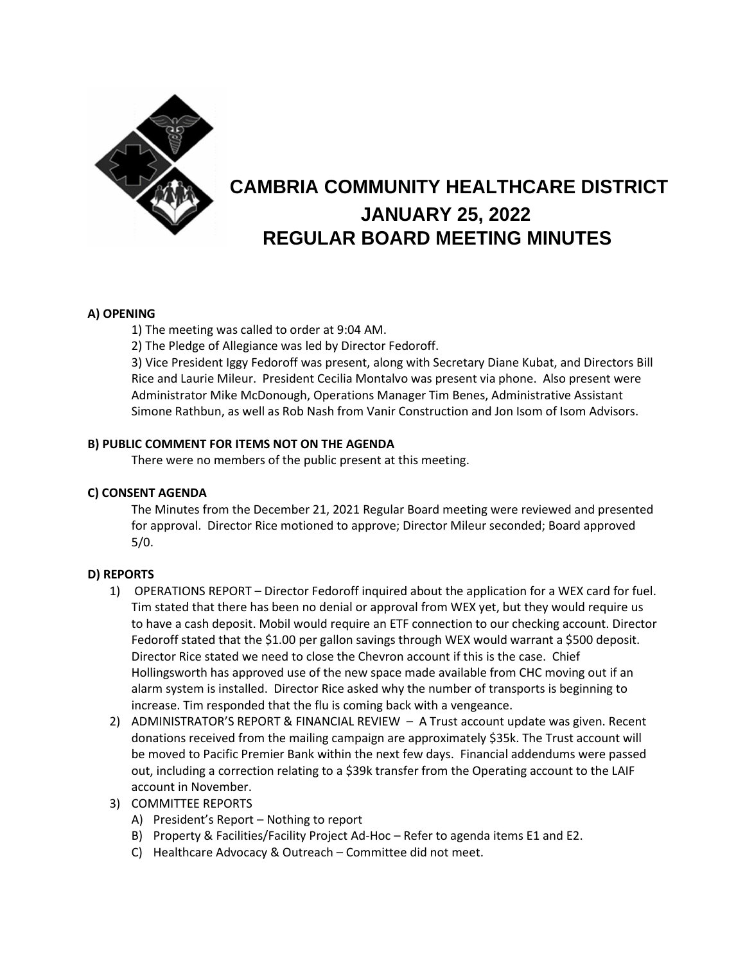

# **CAMBRIA COMMUNITY HEALTHCARE DISTRICT JANUARY 25, 2022 REGULAR BOARD MEETING MINUTES**

## **A) OPENING**

1) The meeting was called to order at 9:04 AM.

2) The Pledge of Allegiance was led by Director Fedoroff.

3) Vice President Iggy Fedoroff was present, along with Secretary Diane Kubat, and Directors Bill Rice and Laurie Mileur. President Cecilia Montalvo was present via phone. Also present were Administrator Mike McDonough, Operations Manager Tim Benes, Administrative Assistant Simone Rathbun, as well as Rob Nash from Vanir Construction and Jon Isom of Isom Advisors.

### **B) PUBLIC COMMENT FOR ITEMS NOT ON THE AGENDA**

There were no members of the public present at this meeting.

#### **C) CONSENT AGENDA**

The Minutes from the December 21, 2021 Regular Board meeting were reviewed and presented for approval. Director Rice motioned to approve; Director Mileur seconded; Board approved 5/0.

## **D) REPORTS**

- 1) OPERATIONS REPORT Director Fedoroff inquired about the application for a WEX card for fuel. Tim stated that there has been no denial or approval from WEX yet, but they would require us to have a cash deposit. Mobil would require an ETF connection to our checking account. Director Fedoroff stated that the \$1.00 per gallon savings through WEX would warrant a \$500 deposit. Director Rice stated we need to close the Chevron account if this is the case. Chief Hollingsworth has approved use of the new space made available from CHC moving out if an alarm system is installed. Director Rice asked why the number of transports is beginning to increase. Tim responded that the flu is coming back with a vengeance.
- 2) ADMINISTRATOR'S REPORT & FINANCIAL REVIEW A Trust account update was given. Recent donations received from the mailing campaign are approximately \$35k. The Trust account will be moved to Pacific Premier Bank within the next few days. Financial addendums were passed out, including a correction relating to a \$39k transfer from the Operating account to the LAIF account in November.
- 3) COMMITTEE REPORTS
	- A) President's Report Nothing to report
	- B) Property & Facilities/Facility Project Ad-Hoc Refer to agenda items E1 and E2.
	- C) Healthcare Advocacy & Outreach Committee did not meet.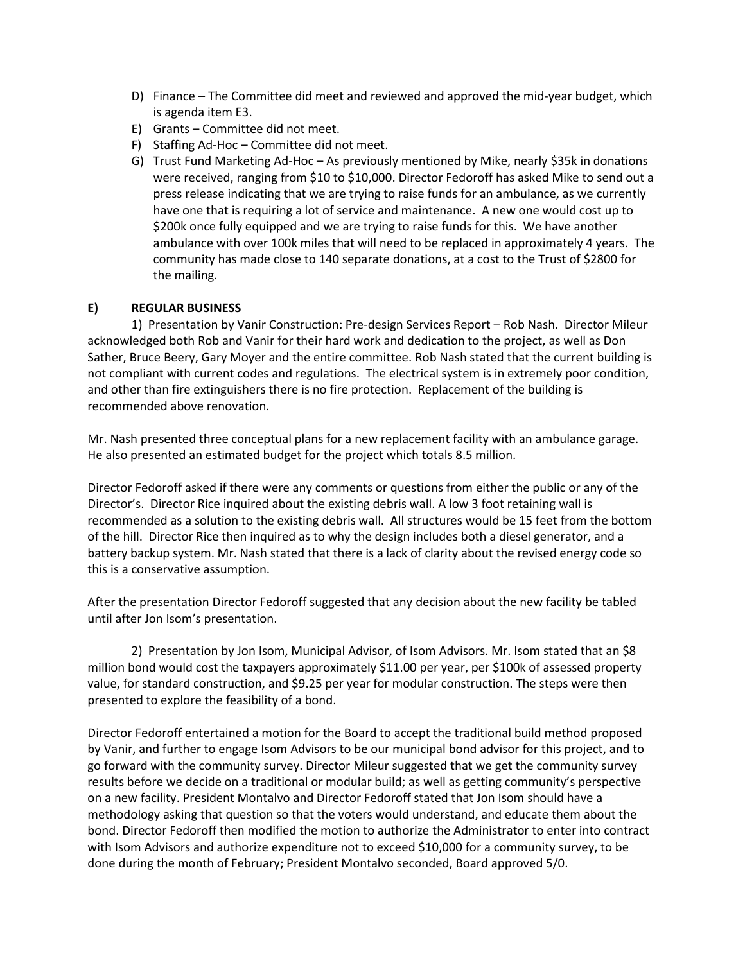- D) Finance The Committee did meet and reviewed and approved the mid-year budget, which is agenda item E3.
- E) Grants Committee did not meet.
- F) Staffing Ad-Hoc Committee did not meet.
- G) Trust Fund Marketing Ad-Hoc As previously mentioned by Mike, nearly \$35k in donations were received, ranging from \$10 to \$10,000. Director Fedoroff has asked Mike to send out a press release indicating that we are trying to raise funds for an ambulance, as we currently have one that is requiring a lot of service and maintenance. A new one would cost up to \$200k once fully equipped and we are trying to raise funds for this. We have another ambulance with over 100k miles that will need to be replaced in approximately 4 years. The community has made close to 140 separate donations, at a cost to the Trust of \$2800 for the mailing.

### **E) REGULAR BUSINESS**

1) Presentation by Vanir Construction: Pre-design Services Report – Rob Nash. Director Mileur acknowledged both Rob and Vanir for their hard work and dedication to the project, as well as Don Sather, Bruce Beery, Gary Moyer and the entire committee. Rob Nash stated that the current building is not compliant with current codes and regulations. The electrical system is in extremely poor condition, and other than fire extinguishers there is no fire protection. Replacement of the building is recommended above renovation.

Mr. Nash presented three conceptual plans for a new replacement facility with an ambulance garage. He also presented an estimated budget for the project which totals 8.5 million.

Director Fedoroff asked if there were any comments or questions from either the public or any of the Director's. Director Rice inquired about the existing debris wall. A low 3 foot retaining wall is recommended as a solution to the existing debris wall. All structures would be 15 feet from the bottom of the hill. Director Rice then inquired as to why the design includes both a diesel generator, and a battery backup system. Mr. Nash stated that there is a lack of clarity about the revised energy code so this is a conservative assumption.

After the presentation Director Fedoroff suggested that any decision about the new facility be tabled until after Jon Isom's presentation.

2) Presentation by Jon Isom, Municipal Advisor, of Isom Advisors. Mr. Isom stated that an \$8 million bond would cost the taxpayers approximately \$11.00 per year, per \$100k of assessed property value, for standard construction, and \$9.25 per year for modular construction. The steps were then presented to explore the feasibility of a bond.

Director Fedoroff entertained a motion for the Board to accept the traditional build method proposed by Vanir, and further to engage Isom Advisors to be our municipal bond advisor for this project, and to go forward with the community survey. Director Mileur suggested that we get the community survey results before we decide on a traditional or modular build; as well as getting community's perspective on a new facility. President Montalvo and Director Fedoroff stated that Jon Isom should have a methodology asking that question so that the voters would understand, and educate them about the bond. Director Fedoroff then modified the motion to authorize the Administrator to enter into contract with Isom Advisors and authorize expenditure not to exceed \$10,000 for a community survey, to be done during the month of February; President Montalvo seconded, Board approved 5/0.